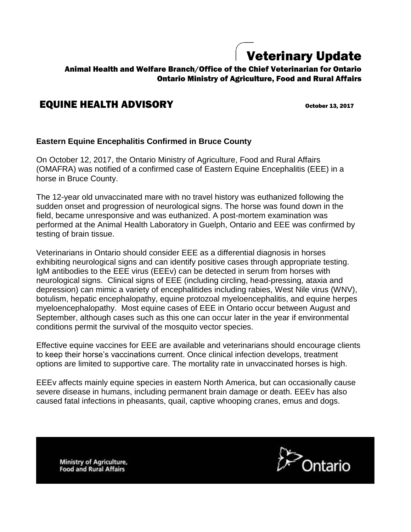## Veterinary Update

## Animal Health and Welfare Branch/Office of the Chief Veterinarian for Ontario Ontario Ministry of Agriculture, Food and Rural Affairs

## **EQUINE HEALTH ADVISORY** October 13, 2017

## **Eastern Equine Encephalitis Confirmed in Bruce County**

On October 12, 2017, the Ontario Ministry of Agriculture, Food and Rural Affairs (OMAFRA) was notified of a confirmed case of Eastern Equine Encephalitis (EEE) in a horse in Bruce County.

The 12-year old unvaccinated mare with no travel history was euthanized following the sudden onset and progression of neurological signs. The horse was found down in the field, became unresponsive and was euthanized. A post-mortem examination was performed at the Animal Health Laboratory in Guelph, Ontario and EEE was confirmed by testing of brain tissue.

Veterinarians in Ontario should consider EEE as a differential diagnosis in horses exhibiting neurological signs and can identify positive cases through appropriate testing. IgM antibodies to the EEE virus (EEEv) can be detected in serum from horses with neurological signs. Clinical signs of EEE (including circling, head-pressing, ataxia and depression) can mimic a variety of encephalitides including rabies, West Nile virus (WNV), botulism, hepatic encephalopathy, equine protozoal myeloencephalitis, and equine herpes myeloencephalopathy. Most equine cases of EEE in Ontario occur between August and September, although cases such as this one can occur later in the year if environmental conditions permit the survival of the mosquito vector species.

Effective equine vaccines for EEE are available and veterinarians should encourage clients to keep their horse's vaccinations current. Once clinical infection develops, treatment options are limited to supportive care. The mortality rate in unvaccinated horses is high.

EEEv affects mainly equine species in eastern North America, but can occasionally cause severe disease in humans, including permanent brain damage or death. EEEv has also caused fatal infections in pheasants, quail, captive whooping cranes, emus and dogs.

**Ministry of Agriculture, Food and Rural Affairs**